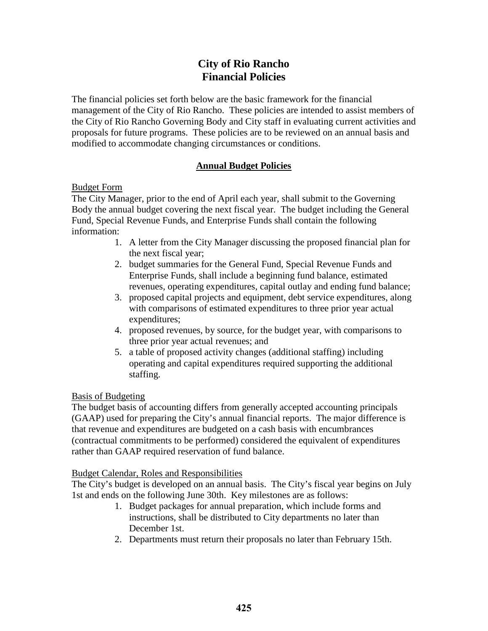# **City of Rio Rancho Financial Policies**

 the City of Rio Rancho Governing Body and City staff in evaluating current activities and proposals for future programs. These policies are to be reviewed on an annual basis and The financial policies set forth below are the basic framework for the financial management of the City of Rio Rancho. These policies are intended to assist members of modified to accommodate changing circumstances or conditions.

## **Annual Budget Policies**

## Budget Form

The City Manager, prior to the end of April each year, shall submit to the Governing Body the annual budget covering the next fiscal year. The budget including the General Fund, Special Revenue Funds, and Enterprise Funds shall contain the following information:

- 1. A letter from the City Manager discussing the proposed financial plan for the next fiscal year;
- 2. budget summaries for the General Fund, Special Revenue Funds and Enterprise Funds, shall include a beginning fund balance, estimated revenues, operating expenditures, capital outlay and ending fund balance;
- with comparisons of estimated expenditures to three prior year actual 3. proposed capital projects and equipment, debt service expenditures, along expenditures;
- three prior year actual revenues; and 4. proposed revenues, by source, for the budget year, with comparisons to
- 5. a table of proposed activity changes (additional staffing) including operating and capital expenditures required supporting the additional staffing.

## Basis of Budgeting

 The budget basis of accounting differs from generally accepted accounting principals (GAAP) used for preparing the City's annual financial reports. The major difference is that revenue and expenditures are budgeted on a cash basis with encumbrances (contractual commitments to be performed) considered the equivalent of expenditures rather than GAAP required reservation of fund balance.

## Budget Calendar, Roles and Responsibilities

 The City's budget is developed on an annual basis. The City's fiscal year begins on July 1st and ends on the following June 30th. Key milestones are as follows:

- 1. Budget packages for annual preparation, which include forms and instructions, shall be distributed to City departments no later than December 1st.
- 2. Departments must return their proposals no later than February 15th.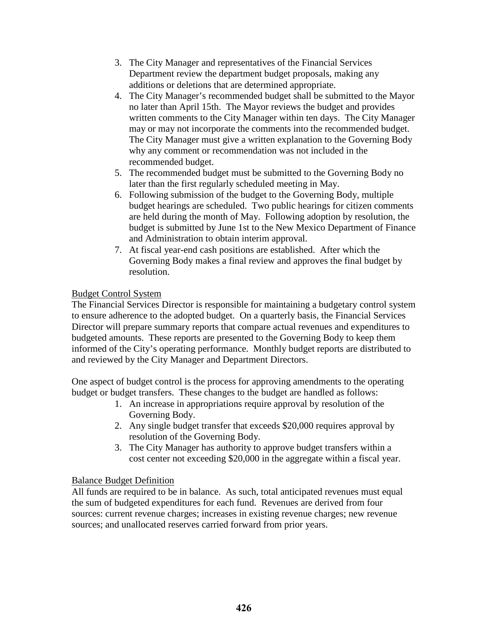- 3. The City Manager and representatives of the Financial Services Department review the department budget proposals, making any additions or deletions that are determined appropriate.
- written comments to the City Manager within ten days. The City Manager 4. The City Manager's recommended budget shall be submitted to the Mayor no later than April 15th. The Mayor reviews the budget and provides may or may not incorporate the comments into the recommended budget. The City Manager must give a written explanation to the Governing Body why any comment or recommendation was not included in the recommended budget.
- 5. The recommended budget must be submitted to the Governing Body no later than the first regularly scheduled meeting in May.
- budget is submitted by June 1st to the New Mexico Department of Finance 6. Following submission of the budget to the Governing Body, multiple budget hearings are scheduled. Two public hearings for citizen comments are held during the month of May. Following adoption by resolution, the and Administration to obtain interim approval.
- 7. At fiscal year-end cash positions are established. After which the Governing Body makes a final review and approves the final budget by resolution.

## Budget Control System

The Financial Services Director is responsible for maintaining a budgetary control system to ensure adherence to the adopted budget. On a quarterly basis, the Financial Services Director will prepare summary reports that compare actual revenues and expenditures to budgeted amounts. These reports are presented to the Governing Body to keep them informed of the City's operating performance. Monthly budget reports are distributed to and reviewed by the City Manager and Department Directors.

 budget or budget transfers. These changes to the budget are handled as follows: One aspect of budget control is the process for approving amendments to the operating

- 1. An increase in appropriations require approval by resolution of the Governing Body.
- resolution of the Governing Body. 2. Any single budget transfer that exceeds \$20,000 requires approval by
- 3. The City Manager has authority to approve budget transfers within a cost center not exceeding \$20,000 in the aggregate within a fiscal year.

## Balance Budget Definition

 All funds are required to be in balance. As such, total anticipated revenues must equal the sum of budgeted expenditures for each fund. Revenues are derived from four sources: current revenue charges; increases in existing revenue charges; new revenue sources; and unallocated reserves carried forward from prior years.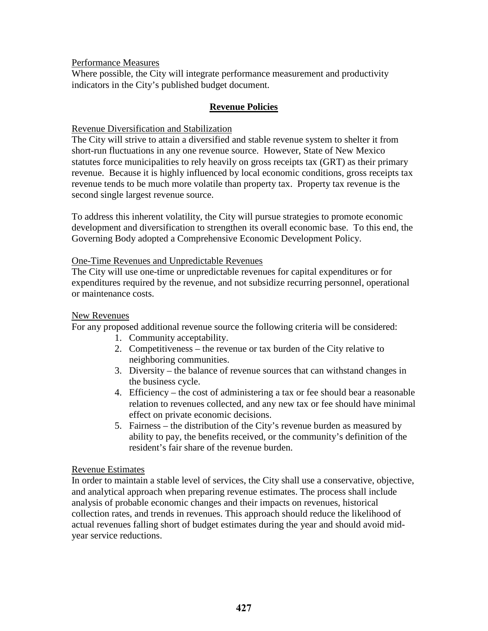Performance Measures

Where possible, the City will integrate performance measurement and productivity indicators in the City's published budget document.

### **Revenue Policies**

### Revenue Diversification and Stabilization

The City will strive to attain a diversified and stable revenue system to shelter it from short-run fluctuations in any one revenue source. However, State of New Mexico statutes force municipalities to rely heavily on gross receipts tax (GRT) as their primary revenue. Because it is highly influenced by local economic conditions, gross receipts tax revenue tends to be much more volatile than property tax. Property tax revenue is the second single largest revenue source.

To address this inherent volatility, the City will pursue strategies to promote economic development and diversification to strengthen its overall economic base. To this end, the Governing Body adopted a Comprehensive Economic Development Policy.

### One-Time Revenues and Unpredictable Revenues

The City will use one-time or unpredictable revenues for capital expenditures or for expenditures required by the revenue, and not subsidize recurring personnel, operational or maintenance costs.

### New Revenues

For any proposed additional revenue source the following criteria will be considered:

- 1. Community acceptability.
- 2. Competitiveness the revenue or tax burden of the City relative to neighboring communities.
- 3. Diversity the balance of revenue sources that can withstand changes in the business cycle.
- 4. Efficiency the cost of administering a tax or fee should bear a reasonable relation to revenues collected, and any new tax or fee should have minimal effect on private economic decisions.
- 5. Fairness the distribution of the City's revenue burden as measured by ability to pay, the benefits received, or the community's definition of the resident's fair share of the revenue burden.

### Revenue Estimates

 actual revenues falling short of budget estimates during the year and should avoid mid-In order to maintain a stable level of services, the City shall use a conservative, objective, and analytical approach when preparing revenue estimates. The process shall include analysis of probable economic changes and their impacts on revenues, historical collection rates, and trends in revenues. This approach should reduce the likelihood of year service reductions.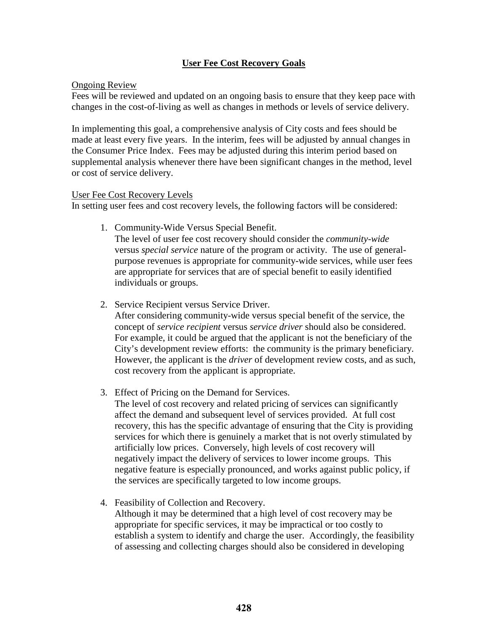## **User Fee Cost Recovery Goals**

### Ongoing Review

Fees will be reviewed and updated on an ongoing basis to ensure that they keep pace with changes in the cost-of-living as well as changes in methods or levels of service delivery.

 In implementing this goal, a comprehensive analysis of City costs and fees should be made at least every five years. In the interim, fees will be adjusted by annual changes in supplemental analysis whenever there have been significant changes in the method, level the Consumer Price Index. Fees may be adjusted during this interim period based on or cost of service delivery.

#### User Fee Cost Recovery Levels

In setting user fees and cost recovery levels, the following factors will be considered:

1. Community-Wide Versus Special Benefit.

 versus *special service* nature of the program or activity. The use of general-The level of user fee cost recovery should consider the *community-wide*  purpose revenues is appropriate for community-wide services, while user fees are appropriate for services that are of special benefit to easily identified individuals or groups.

2. Service Recipient versus Service Driver.

 For example, it could be argued that the applicant is not the beneficiary of the City's development review efforts: the community is the primary beneficiary. After considering community-wide versus special benefit of the service, the concept of *service recipient* versus *service driver* should also be considered. However, the applicant is the *driver* of development review costs, and as such, cost recovery from the applicant is appropriate.

3. Effect of Pricing on the Demand for Services.

 The level of cost recovery and related pricing of services can significantly services for which there is genuinely a market that is not overly stimulated by affect the demand and subsequent level of services provided. At full cost recovery, this has the specific advantage of ensuring that the City is providing artificially low prices. Conversely, high levels of cost recovery will negatively impact the delivery of services to lower income groups. This negative feature is especially pronounced, and works against public policy, if the services are specifically targeted to low income groups.

4. Feasibility of Collection and Recovery.

Although it may be determined that a high level of cost recovery may be appropriate for specific services, it may be impractical or too costly to establish a system to identify and charge the user. Accordingly, the feasibility of assessing and collecting charges should also be considered in developing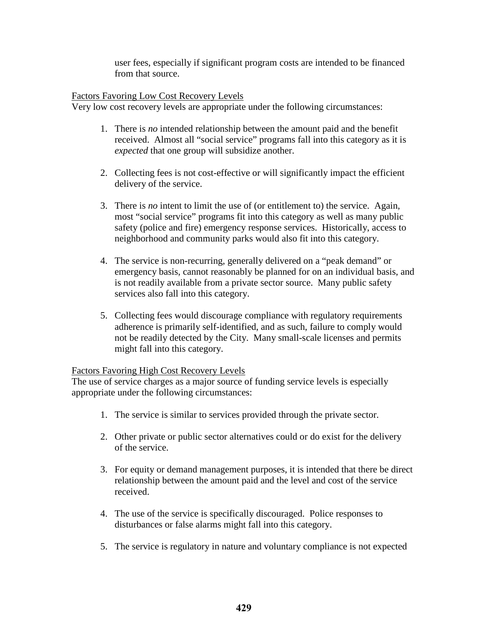user fees, especially if significant program costs are intended to be financed from that source.

## Factors Favoring Low Cost Recovery Levels

Very low cost recovery levels are appropriate under the following circumstances:

- 1. There is *no* intended relationship between the amount paid and the benefit received. Almost all "social service" programs fall into this category as it is *expected* that one group will subsidize another.
- 2. Collecting fees is not cost-effective or will significantly impact the efficient delivery of the service.
- safety (police and fire) emergency response services. Historically, access to 3. There is *no* intent to limit the use of (or entitlement to) the service. Again, most "social service" programs fit into this category as well as many public neighborhood and community parks would also fit into this category.
- 4. The service is non-recurring, generally delivered on a "peak demand" or emergency basis, cannot reasonably be planned for on an individual basis, and is not readily available from a private sector source. Many public safety services also fall into this category.
- 5. Collecting fees would discourage compliance with regulatory requirements adherence is primarily self-identified, and as such, failure to comply would not be readily detected by the City. Many small-scale licenses and permits might fall into this category.

### Factors Favoring High Cost Recovery Levels

The use of service charges as a major source of funding service levels is especially appropriate under the following circumstances:

- 1. The service is similar to services provided through the private sector.
- 2. Other private or public sector alternatives could or do exist for the delivery of the service.
- 3. For equity or demand management purposes, it is intended that there be direct relationship between the amount paid and the level and cost of the service received.
- 4. The use of the service is specifically discouraged. Police responses to disturbances or false alarms might fall into this category.
- 5. The service is regulatory in nature and voluntary compliance is not expected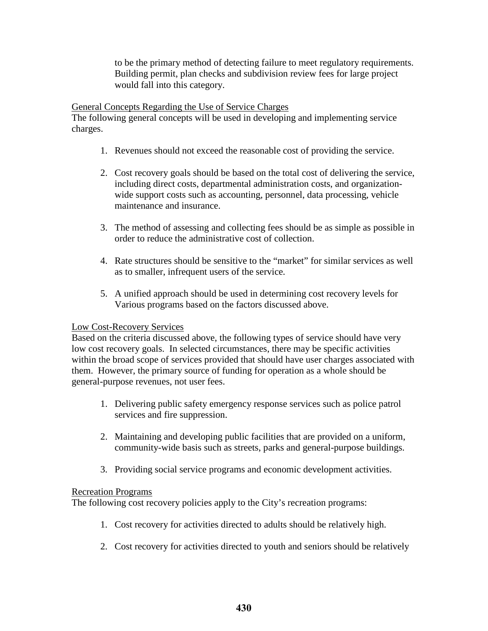to be the primary method of detecting failure to meet regulatory requirements. Building permit, plan checks and subdivision review fees for large project would fall into this category.

General Concepts Regarding the Use of Service Charges

The following general concepts will be used in developing and implementing service charges.

- 1. Revenues should not exceed the reasonable cost of providing the service.
- 2. Cost recovery goals should be based on the total cost of delivering the service, including direct costs, departmental administration costs, and organizationwide support costs such as accounting, personnel, data processing, vehicle maintenance and insurance.
- 3. The method of assessing and collecting fees should be as simple as possible in order to reduce the administrative cost of collection.
- 4. Rate structures should be sensitive to the "market" for similar services as well as to smaller, infrequent users of the service.
- 5. A unified approach should be used in determining cost recovery levels for Various programs based on the factors discussed above.

## Low Cost-Recovery Services

 low cost recovery goals. In selected circumstances, there may be specific activities Based on the criteria discussed above, the following types of service should have very within the broad scope of services provided that should have user charges associated with them. However, the primary source of funding for operation as a whole should be general-purpose revenues, not user fees.

- 1. Delivering public safety emergency response services such as police patrol services and fire suppression.
- 2. Maintaining and developing public facilities that are provided on a uniform, community-wide basis such as streets, parks and general-purpose buildings.
- 3. Providing social service programs and economic development activities.

## Recreation Programs

The following cost recovery policies apply to the City's recreation programs:

- 1. Cost recovery for activities directed to adults should be relatively high.
- 2. Cost recovery for activities directed to youth and seniors should be relatively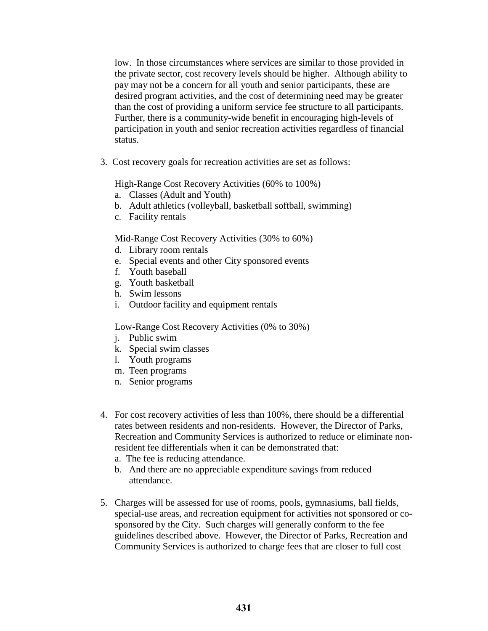desired program activities, and the cost of determining need may be greater than the cost of providing a uniform service fee structure to all participants. low. In those circumstances where services are similar to those provided in the private sector, cost recovery levels should be higher. Although ability to pay may not be a concern for all youth and senior participants, these are Further, there is a community-wide benefit in encouraging high-levels of participation in youth and senior recreation activities regardless of financial status.

3. Cost recovery goals for recreation activities are set as follows:

High-Range Cost Recovery Activities (60% to 100%)

- a. Classes (Adult and Youth)
- b. Adult athletics (volleyball, basketball softball, swimming)
- c. Facility rentals

Mid-Range Cost Recovery Activities (30% to 60%)

- d. Library room rentals
- e. Special events and other City sponsored events
- f. Youth baseball
- g. Youth basketball
- h. Swim lessons
- i. Outdoor facility and equipment rentals

Low-Range Cost Recovery Activities (0% to 30%)

- i. Public swim
- k. Special swim classes
- l. Youth programs
- m. Teen programs
- n. Senior programs
- 4. For cost recovery activities of less than 100%, there should be a differential rates between residents and non-residents. However, the Director of Parks, Recreation and Community Services is authorized to reduce or eliminate nonresident fee differentials when it can be demonstrated that:
	- a. The fee is reducing attendance.
	- b. And there are no appreciable expenditure savings from reduced attendance.
- 5. Charges will be assessed for use of rooms, pools, gymnasiums, ball fields, special-use areas, and recreation equipment for activities not sponsored or cosponsored by the City. Such charges will generally conform to the fee guidelines described above. However, the Director of Parks, Recreation and Community Services is authorized to charge fees that are closer to full cost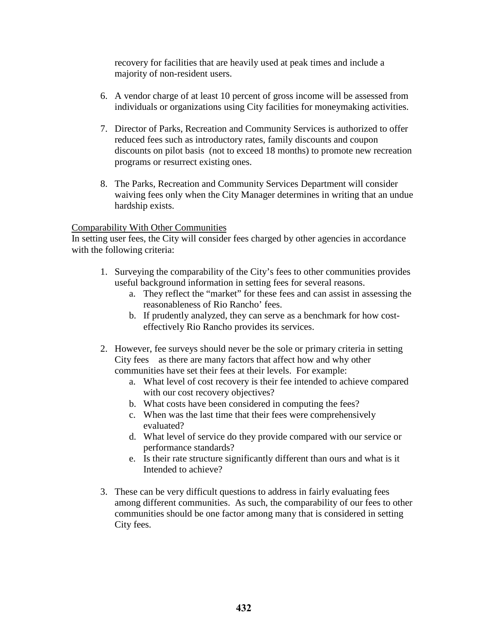recovery for facilities that are heavily used at peak times and include a majority of non-resident users.

- 6. A vendor charge of at least 10 percent of gross income will be assessed from individuals or organizations using City facilities for moneymaking activities.
- 7. Director of Parks, Recreation and Community Services is authorized to offer reduced fees such as introductory rates, family discounts and coupon discounts on pilot basis (not to exceed 18 months) to promote new recreation programs or resurrect existing ones.
- 8. The Parks, Recreation and Community Services Department will consider waiving fees only when the City Manager determines in writing that an undue hardship exists.

## Comparability With Other Communities

In setting user fees, the City will consider fees charged by other agencies in accordance with the following criteria:

- 1. Surveying the comparability of the City's fees to other communities provides useful background information in setting fees for several reasons.
	- a. They reflect the "market" for these fees and can assist in assessing the reasonableness of Rio Rancho' fees.
	- b. If prudently analyzed, they can serve as a benchmark for how costeffectively Rio Rancho provides its services.
- City fees as there are many factors that affect how and why other 2. However, fee surveys should never be the sole or primary criteria in setting communities have set their fees at their levels. For example:
	- a. What level of cost recovery is their fee intended to achieve compared with our cost recovery objectives?
	- b. What costs have been considered in computing the fees?
	- c. When was the last time that their fees were comprehensively evaluated?
	- d. What level of service do they provide compared with our service or performance standards?
	- e. Is their rate structure significantly different than ours and what is it Intended to achieve?
- 3. These can be very difficult questions to address in fairly evaluating fees among different communities. As such, the comparability of our fees to other communities should be one factor among many that is considered in setting City fees.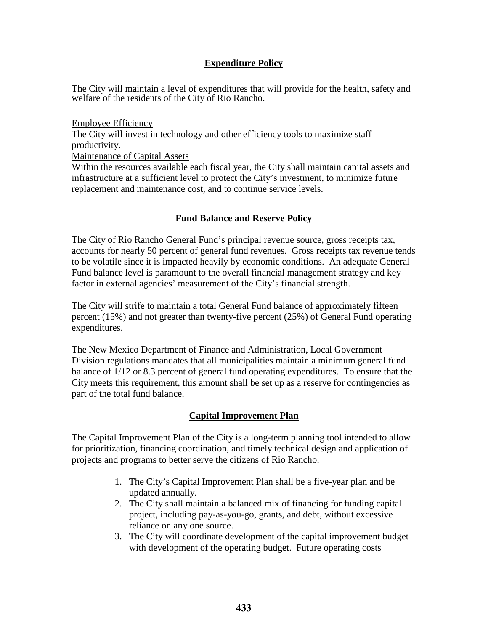## **Expenditure Policy**

The City will maintain a level of expenditures that will provide for the health, safety and welfare of the residents of the City of Rio Rancho.

Employee Efficiency The City will invest in technology and other efficiency tools to maximize staff productivity.

Maintenance of Capital Assets

Within the resources available each fiscal year, the City shall maintain capital assets and infrastructure at a sufficient level to protect the City's investment, to minimize future replacement and maintenance cost, and to continue service levels.

## **Fund Balance and Reserve Policy**

factor in external agencies' measurement of the City's financial strength. The City of Rio Rancho General Fund's principal revenue source, gross receipts tax, accounts for nearly 50 percent of general fund revenues. Gross receipts tax revenue tends to be volatile since it is impacted heavily by economic conditions. An adequate General Fund balance level is paramount to the overall financial management strategy and key

The City will strife to maintain a total General Fund balance of approximately fifteen percent (15%) and not greater than twenty-five percent (25%) of General Fund operating expenditures.

The New Mexico Department of Finance and Administration, Local Government Division regulations mandates that all municipalities maintain a minimum general fund balance of 1/12 or 8.3 percent of general fund operating expenditures. To ensure that the City meets this requirement, this amount shall be set up as a reserve for contingencies as part of the total fund balance.

## **Capital Improvement Plan**

The Capital Improvement Plan of the City is a long-term planning tool intended to allow for prioritization, financing coordination, and timely technical design and application of projects and programs to better serve the citizens of Rio Rancho.

- 1. The City's Capital Improvement Plan shall be a five-year plan and be updated annually.
- 2. The City shall maintain a balanced mix of financing for funding capital project, including pay-as-you-go, grants, and debt, without excessive reliance on any one source.
- 3. The City will coordinate development of the capital improvement budget with development of the operating budget. Future operating costs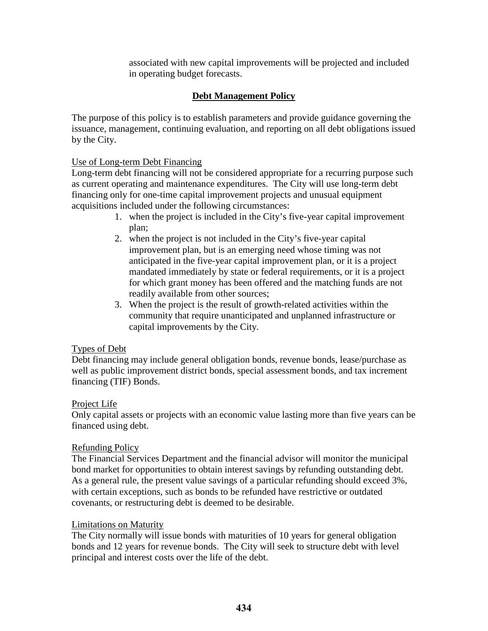associated with new capital improvements will be projected and included in operating budget forecasts.

## **Debt Management Policy**

 The purpose of this policy is to establish parameters and provide guidance governing the issuance, management, continuing evaluation, and reporting on all debt obligations issued by the City.

## Use of Long-term Debt Financing

 Long-term debt financing will not be considered appropriate for a recurring purpose such as current operating and maintenance expenditures. The City will use long-term debt financing only for one-time capital improvement projects and unusual equipment acquisitions included under the following circumstances:

- 1. when the project is included in the City's five-year capital improvement plan;
- for which grant money has been offered and the matching funds are not 2. when the project is not included in the City's five-year capital improvement plan, but is an emerging need whose timing was not anticipated in the five-year capital improvement plan, or it is a project mandated immediately by state or federal requirements, or it is a project readily available from other sources;
- 3. When the project is the result of growth-related activities within the community that require unanticipated and unplanned infrastructure or capital improvements by the City.

### Types of Debt

 Debt financing may include general obligation bonds, revenue bonds, lease/purchase as well as public improvement district bonds, special assessment bonds, and tax increment financing (TIF) Bonds.

### Project Life

Only capital assets or projects with an economic value lasting more than five years can be financed using debt.

### Refunding Policy

The Financial Services Department and the financial advisor will monitor the municipal bond market for opportunities to obtain interest savings by refunding outstanding debt. As a general rule, the present value savings of a particular refunding should exceed 3%, with certain exceptions, such as bonds to be refunded have restrictive or outdated covenants, or restructuring debt is deemed to be desirable.

### Limitations on Maturity

 The City normally will issue bonds with maturities of 10 years for general obligation bonds and 12 years for revenue bonds. The City will seek to structure debt with level principal and interest costs over the life of the debt.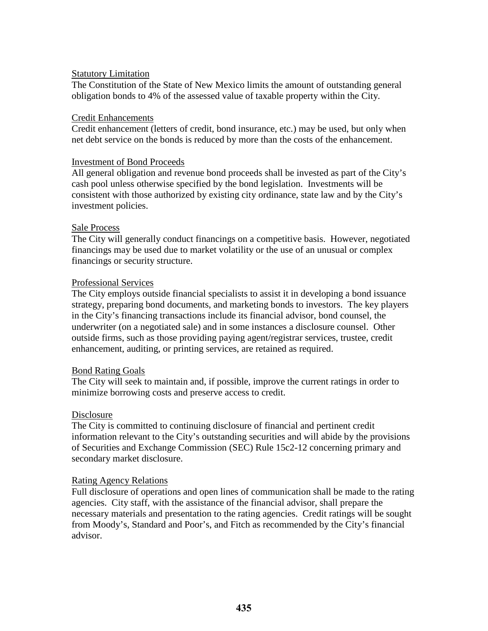### **Statutory Limitation**

 The Constitution of the State of New Mexico limits the amount of outstanding general obligation bonds to 4% of the assessed value of taxable property within the City.

#### Credit Enhancements

Credit enhancement (letters of credit, bond insurance, etc.) may be used, but only when net debt service on the bonds is reduced by more than the costs of the enhancement.

#### Investment of Bond Proceeds

 consistent with those authorized by existing city ordinance, state law and by the City's All general obligation and revenue bond proceeds shall be invested as part of the City's cash pool unless otherwise specified by the bond legislation. Investments will be investment policies.

#### Sale Process

The City will generally conduct financings on a competitive basis. However, negotiated financings may be used due to market volatility or the use of an unusual or complex financings or security structure.

#### Professional Services

The City employs outside financial specialists to assist it in developing a bond issuance strategy, preparing bond documents, and marketing bonds to investors. The key players in the City's financing transactions include its financial advisor, bond counsel, the underwriter (on a negotiated sale) and in some instances a disclosure counsel. Other outside firms, such as those providing paying agent/registrar services, trustee, credit enhancement, auditing, or printing services, are retained as required.

### **Bond Rating Goals**

The City will seek to maintain and, if possible, improve the current ratings in order to minimize borrowing costs and preserve access to credit.

### **Disclosure**

The City is committed to continuing disclosure of financial and pertinent credit information relevant to the City's outstanding securities and will abide by the provisions of Securities and Exchange Commission (SEC) Rule 15c2-12 concerning primary and secondary market disclosure.

#### Rating Agency Relations

Full disclosure of operations and open lines of communication shall be made to the rating agencies. City staff, with the assistance of the financial advisor, shall prepare the necessary materials and presentation to the rating agencies. Credit ratings will be sought from Moody's, Standard and Poor's, and Fitch as recommended by the City's financial advisor.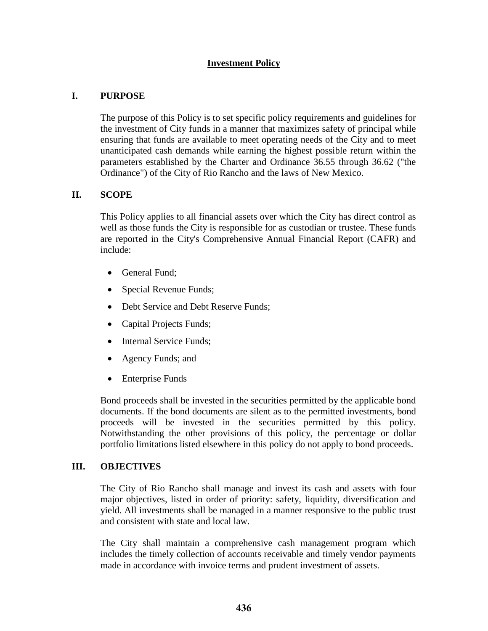## **Investment Policy**

## **I. PURPOSE**

The purpose of this Policy is to set specific policy requirements and guidelines for the investment of City funds in a manner that maximizes safety of principal while ensuring that funds are available to meet operating needs of the City and to meet unanticipated cash demands while earning the highest possible return within the parameters established by the Charter and Ordinance 36.55 through 36.62 ("the Ordinance") of the City of Rio Rancho and the laws of New Mexico.

## **II. SCOPE**

This Policy applies to all financial assets over which the City has direct control as well as those funds the City is responsible for as custodian or trustee. These funds are reported in the City's Comprehensive Annual Financial Report (CAFR) and include:

- General Fund;
- Special Revenue Funds;
- Debt Service and Debt Reserve Funds;
- Capital Projects Funds;
- Internal Service Funds;
- Agency Funds; and
- Enterprise Funds

Bond proceeds shall be invested in the securities permitted by the applicable bond documents. If the bond documents are silent as to the permitted investments, bond proceeds will be invested in the securities permitted by this policy. Notwithstanding the other provisions of this policy, the percentage or dollar portfolio limitations listed elsewhere in this policy do not apply to bond proceeds.

### **III. OBJECTIVES**

 The City of Rio Rancho shall manage and invest its cash and assets with four major objectives, listed in order of priority: safety, liquidity, diversification and yield. All investments shall be managed in a manner responsive to the public trust and consistent with state and local law.

The City shall maintain a comprehensive cash management program which includes the timely collection of accounts receivable and timely vendor payments made in accordance with invoice terms and prudent investment of assets.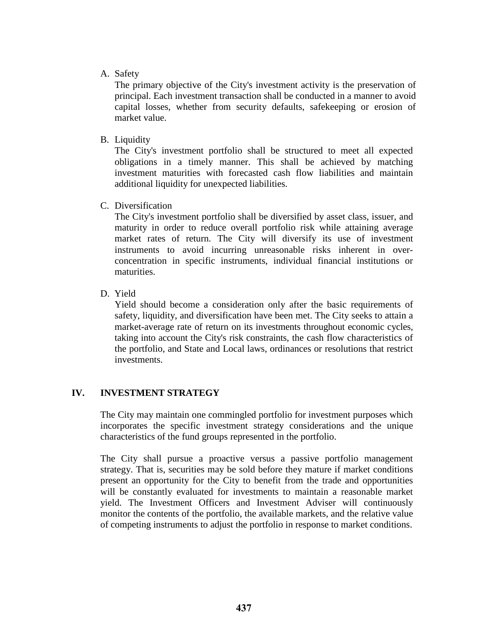### A. Safety

 capital losses, whether from security defaults, safekeeping or erosion of The primary objective of the City's investment activity is the preservation of principal. Each investment transaction shall be conducted in a manner to avoid market value.

B. Liquidity

 obligations in a timely manner. This shall be achieved by matching The City's investment portfolio shall be structured to meet all expected investment maturities with forecasted cash flow liabilities and maintain additional liquidity for unexpected liabilities.

C. Diversification

The City's investment portfolio shall be diversified by asset class, issuer, and maturity in order to reduce overall portfolio risk while attaining average market rates of return. The City will diversify its use of investment instruments to avoid incurring unreasonable risks inherent in overconcentration in specific instruments, individual financial institutions or maturities.

D. Yield

 market-average rate of return on its investments throughout economic cycles, Yield should become a consideration only after the basic requirements of safety, liquidity, and diversification have been met. The City seeks to attain a taking into account the City's risk constraints, the cash flow characteristics of the portfolio, and State and Local laws, ordinances or resolutions that restrict investments.

## **IV. INVESTMENT STRATEGY**

 The City may maintain one commingled portfolio for investment purposes which characteristics of the fund groups represented in the portfolio. incorporates the specific investment strategy considerations and the unique

The City shall pursue a proactive versus a passive portfolio management strategy. That is, securities may be sold before they mature if market conditions present an opportunity for the City to benefit from the trade and opportunities will be constantly evaluated for investments to maintain a reasonable market yield. The Investment Officers and Investment Adviser will continuously monitor the contents of the portfolio, the available markets, and the relative value of competing instruments to adjust the portfolio in response to market conditions.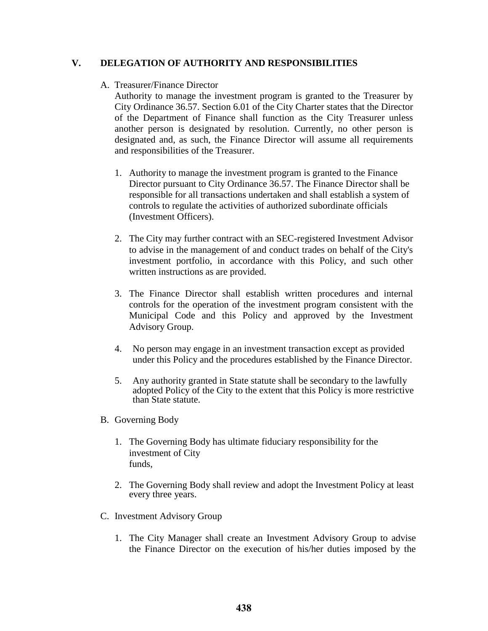### **V. DELEGATION OF AUTHORITY AND RESPONSIBILITIES**

## A. Treasurer/Finance Director

Authority to manage the investment program is granted to the Treasurer by City Ordinance 36.57. Section 6.01 of the City Charter states that the Director of the Department of Finance shall function as the City Treasurer unless another person is designated by resolution. Currently, no other person is designated and, as such, the Finance Director will assume all requirements and responsibilities of the Treasurer.

- 1. Authority to manage the investment program is granted to the Finance Director pursuant to City Ordinance 36.57. The Finance Director shall be responsible for all transactions undertaken and shall establish a system of controls to regulate the activities of authorized subordinate officials (Investment Officers).
- 2. The City may further contract with an SEC-registered Investment Advisor to advise in the management of and conduct trades on behalf of the City's investment portfolio, in accordance with this Policy, and such other written instructions as are provided.
- Municipal Code and this Policy and approved by the Investment 3. The Finance Director shall establish written procedures and internal controls for the operation of the investment program consistent with the Advisory Group.
- under this Policy and the procedures established by the Finance Director. 4. No person may engage in an investment transaction except as provided
- 5. Any authority granted in State statute shall be secondary to the lawfully adopted Policy of the City to the extent that this Policy is more restrictive than State statute.
- B. Governing Body
	- 1. The Governing Body has ultimate fiduciary responsibility for the investment of City funds,
	- 2. The Governing Body shall review and adopt the Investment Policy at least every three years.
- C. Investment Advisory Group
	- 1. The City Manager shall create an Investment Advisory Group to advise the Finance Director on the execution of his/her duties imposed by the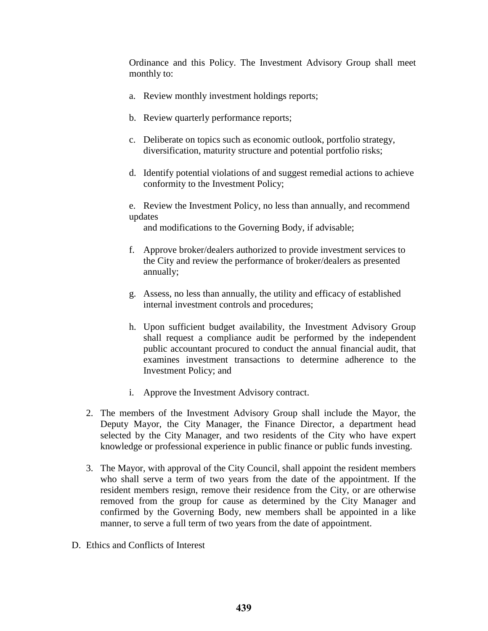Ordinance and this Policy. The Investment Advisory Group shall meet monthly to:

- a. Review monthly investment holdings reports;
- b. Review quarterly performance reports;
- c. Deliberate on topics such as economic outlook, portfolio strategy, diversification, maturity structure and potential portfolio risks;
- d. Identify potential violations of and suggest remedial actions to achieve conformity to the Investment Policy;
- updates e. Review the Investment Policy, no less than annually, and recommend

and modifications to the Governing Body, if advisable;

- f. Approve broker/dealers authorized to provide investment services to the City and review the performance of broker/dealers as presented annually;
- g. Assess, no less than annually, the utility and efficacy of established internal investment controls and procedures;
- h. Upon sufficient budget availability, the Investment Advisory Group shall request a compliance audit be performed by the independent public accountant procured to conduct the annual financial audit, that examines investment transactions to determine adherence to the Investment Policy; and
- i. Approve the Investment Advisory contract.
- 2. The members of the Investment Advisory Group shall include the Mayor, the Deputy Mayor, the City Manager, the Finance Director, a department head selected by the City Manager, and two residents of the City who have expert knowledge or professional experience in public finance or public funds investing.
- resident members resign, remove their residence from the City, or are otherwise 3. The Mayor, with approval of the City Council, shall appoint the resident members who shall serve a term of two years from the date of the appointment. If the removed from the group for cause as determined by the City Manager and confirmed by the Governing Body, new members shall be appointed in a like manner, to serve a full term of two years from the date of appointment.
- D. Ethics and Conflicts of Interest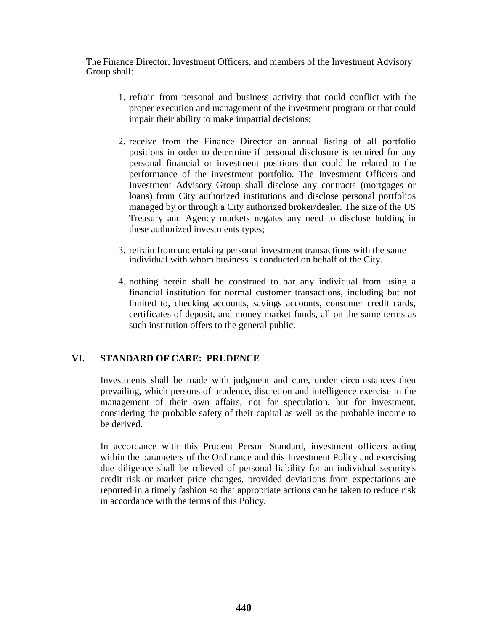The Finance Director, Investment Officers, and members of the Investment Advisory Group shall:

- 1. refrain from personal and business activity that could conflict with the proper execution and management of the investment program or that could impair their ability to make impartial decisions;
- Investment Advisory Group shall disclose any contracts (mortgages or 2. receive from the Finance Director an annual listing of all portfolio positions in order to determine if personal disclosure is required for any personal financial or investment positions that could be related to the performance of the investment portfolio. The Investment Officers and loans) from City authorized institutions and disclose personal portfolios managed by or through a City authorized broker/dealer. The size of the US Treasury and Agency markets negates any need to disclose holding in these authorized investments types;
- 3. refrain from undertaking personal investment transactions with the same individual with whom business is conducted on behalf of the City.
- 4. nothing herein shall be construed to bar any individual from using a financial institution for normal customer transactions, including but not limited to, checking accounts, savings accounts, consumer credit cards, certificates of deposit, and money market funds, all on the same terms as such institution offers to the general public.

## **VI. STANDARD OF CARE: PRUDENCE**

Investments shall be made with judgment and care, under circumstances then prevailing, which persons of prudence, discretion and intelligence exercise in the management of their own affairs, not for speculation, but for investment, considering the probable safety of their capital as well as the probable income to be derived.

In accordance with this Prudent Person Standard, investment officers acting within the parameters of the Ordinance and this Investment Policy and exercising due diligence shall be relieved of personal liability for an individual security's credit risk or market price changes, provided deviations from expectations are reported in a timely fashion so that appropriate actions can be taken to reduce risk in accordance with the terms of this Policy.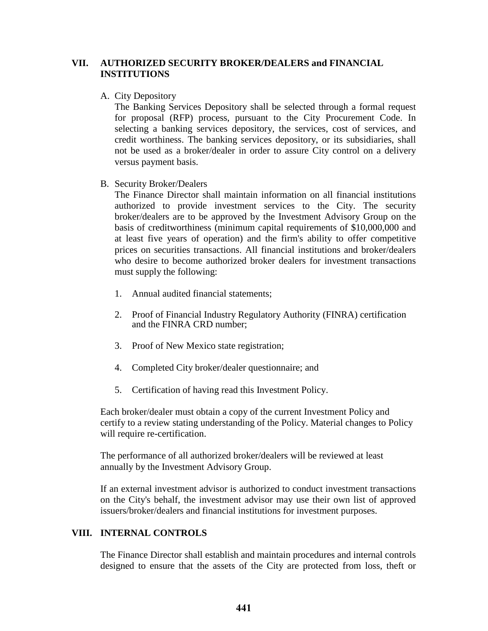## **VII. AUTHORIZED SECURITY BROKER/DEALERS and FINANCIAL INSTITUTIONS**

#### A. City Depository

The Banking Services Depository shall be selected through a formal request for proposal (RFP) process, pursuant to the City Procurement Code. In selecting a banking services depository, the services, cost of services, and credit worthiness. The banking services depository, or its subsidiaries, shall not be used as a broker/dealer in order to assure City control on a delivery versus payment basis.

B. Security Broker/Dealers

 at least five years of operation) and the firm's ability to offer competitive must supply the following: The Finance Director shall maintain information on all financial institutions authorized to provide investment services to the City. The security broker/dealers are to be approved by the Investment Advisory Group on the basis of creditworthiness (minimum capital requirements of \$10,000,000 and prices on securities transactions. All financial institutions and broker/dealers who desire to become authorized broker dealers for investment transactions

- 1. Annual audited financial statements;
- 2. Proof of Financial Industry Regulatory Authority (FINRA) certification and the FINRA CRD number;
- 3. Proof of New Mexico state registration;
- 4. Completed City broker/dealer questionnaire; and
- 5. Certification of having read this Investment Policy.

 Each broker/dealer must obtain a copy of the current Investment Policy and certify to a review stating understanding of the Policy. Material changes to Policy will require re-certification.

 The performance of all authorized broker/dealers will be reviewed at least annually by the Investment Advisory Group.

If an external investment advisor is authorized to conduct investment transactions on the City's behalf, the investment advisor may use their own list of approved issuers/broker/dealers and financial institutions for investment purposes.

## **VIII. INTERNAL CONTROLS**

The Finance Director shall establish and maintain procedures and internal controls designed to ensure that the assets of the City are protected from loss, theft or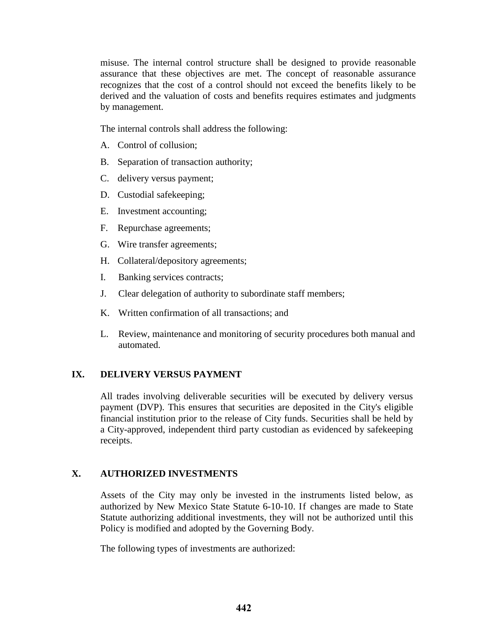recognizes that the cost of a control should not exceed the benefits likely to be misuse. The internal control structure shall be designed to provide reasonable assurance that these objectives are met. The concept of reasonable assurance derived and the valuation of costs and benefits requires estimates and judgments by management.

The internal controls shall address the following:

- A. Control of collusion;
- B. Separation of transaction authority;
- C. delivery versus payment;
- D. Custodial safekeeping;
- E. Investment accounting;
- F. Repurchase agreements;
- G. Wire transfer agreements;
- H. Collateral/depository agreements;
- I. Banking services contracts;
- J. Clear delegation of authority to subordinate staff members;
- K. Written confirmation of all transactions; and
- L. Review, maintenance and monitoring of security procedures both manual and automated.

## **IX. DELIVERY VERSUS PAYMENT**

 All trades involving deliverable securities will be executed by delivery versus a City-approved, independent third party custodian as evidenced by safekeeping payment (DVP). This ensures that securities are deposited in the City's eligible financial institution prior to the release of City funds. Securities shall be held by receipts.

## **X. AUTHORIZED INVESTMENTS**

 Policy is modified and adopted by the Governing Body. Assets of the City may only be invested in the instruments listed below, as authorized by New Mexico State Statute 6-10-10. If changes are made to State Statute authorizing additional investments, they will not be authorized until this

The following types of investments are authorized: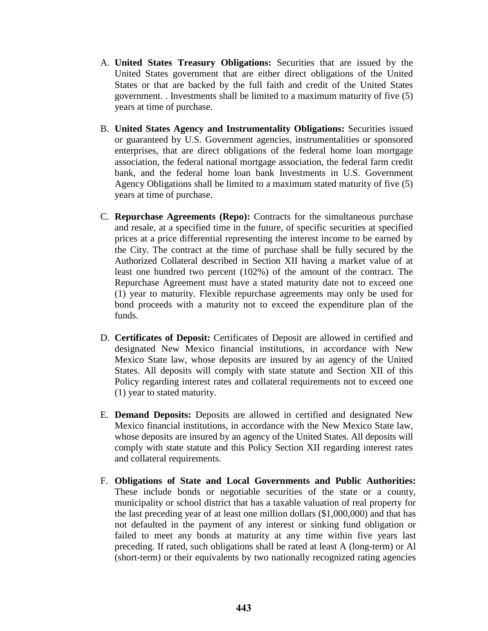- A. **United States Treasury Obligations:** Securities that are issued by the United States government that are either direct obligations of the United States or that are backed by the full faith and credit of the United States government. . Investments shall be limited to a maximum maturity of five (5) years at time of purchase.
- B. **United States Agency and Instrumentality Obligations:** Securities issued or guaranteed by U.S. Government agencies, instrumentalities or sponsored enterprises, that are direct obligations of the federal home loan mortgage association, the federal national mortgage association, the federal farm credit bank, and the federal home loan bank Investments in U.S. Government Agency Obligations shall be limited to a maximum stated maturity of five (5) years at time of purchase.
- and resale, at a specified time in the future, of specific securities at specified prices at a price differential representing the interest income to be earned by (1) year to maturity. Flexible repurchase agreements may only be used for C. **Repurchase Agreements (Repo):** Contracts for the simultaneous purchase the City. The contract at the time of purchase shall be fully secured by the Authorized Collateral described in Section XII having a market value of at least one hundred two percent (102%) of the amount of the contract. The Repurchase Agreement must have a stated maturity date not to exceed one bond proceeds with a maturity not to exceed the expenditure plan of the funds.
- D. **Certificates of Deposit:** Certificates of Deposit are allowed in certified and designated New Mexico financial institutions, in accordance with New Mexico State law, whose deposits are insured by an agency of the United States. All deposits will comply with state statute and Section XII of this Policy regarding interest rates and collateral requirements not to exceed one (1) year to stated maturity.
- E. **Demand Deposits:** Deposits are allowed in certified and designated New Mexico financial institutions, in accordance with the New Mexico State law, whose deposits are insured by an agency of the United States. All deposits will comply with state statute and this Policy Section XII regarding interest rates and collateral requirements.
- municipality or school district that has a taxable valuation of real property for F. **Obligations of State and Local Governments and Public Authorities:**  These include bonds or negotiable securities of the state or a county, the last preceding year of at least one million dollars (\$1,000,000) and that has not defaulted in the payment of any interest or sinking fund obligation or failed to meet any bonds at maturity at any time within five years last preceding. If rated, such obligations shall be rated at least A (long-term) or Al (short-term) or their equivalents by two nationally recognized rating agencies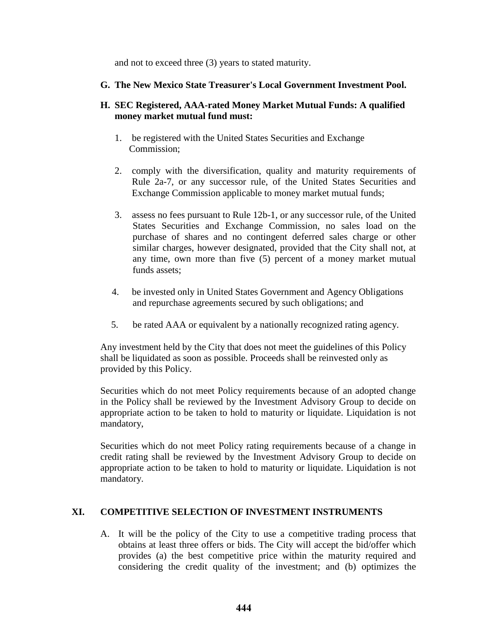and not to exceed three (3) years to stated maturity.

### **G. The New Mexico State Treasurer's Local Government Investment Pool.**

## **money market mutual fund must: H. SEC Registered, AAA-rated Money Market Mutual Funds: A qualified**

- 1. be registered with the United States Securities and Exchange Commission;
- Rule 2a-7, or any successor rule, of the United States Securities and 2. comply with the diversification, quality and maturity requirements of Exchange Commission applicable to money market mutual funds;
- similar charges, however designated, provided that the City shall not, at 3. assess no fees pursuant to Rule 12b-1, or any successor rule, of the United States Securities and Exchange Commission, no sales load on the purchase of shares and no contingent deferred sales charge or other any time, own more than five (5) percent of a money market mutual funds assets;
- 4. be invested only in United States Government and Agency Obligations and repurchase agreements secured by such obligations; and
- 5. be rated AAA or equivalent by a nationally recognized rating agency.

 shall be liquidated as soon as possible. Proceeds shall be reinvested only as Any investment held by the City that does not meet the guidelines of this Policy provided by this Policy.

 Securities which do not meet Policy requirements because of an adopted change in the Policy shall be reviewed by the Investment Advisory Group to decide on appropriate action to be taken to hold to maturity or liquidate. Liquidation is not mandatory,

 Securities which do not meet Policy rating requirements because of a change in credit rating shall be reviewed by the Investment Advisory Group to decide on appropriate action to be taken to hold to maturity or liquidate. Liquidation is not mandatory.

## **XI. COMPETITIVE SELECTION OF INVESTMENT INSTRUMENTS**

A. It will be the policy of the City to use a competitive trading process that obtains at least three offers or bids. The City will accept the bid/offer which provides (a) the best competitive price within the maturity required and considering the credit quality of the investment; and (b) optimizes the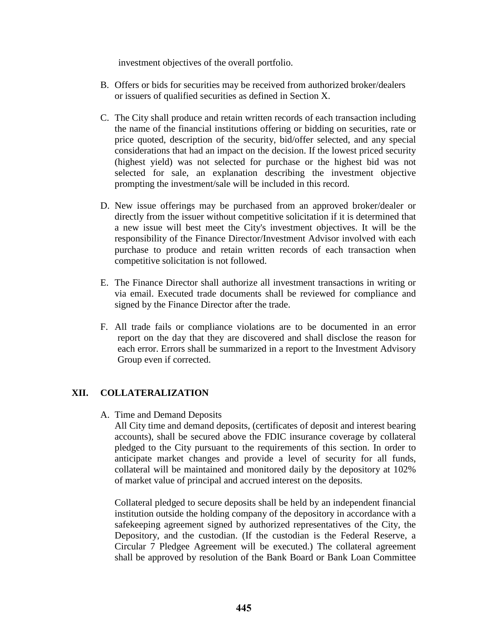investment objectives of the overall portfolio.

- B. Offers or bids for securities may be received from authorized broker/dealers or issuers of qualified securities as defined in Section X.
- C. The City shall produce and retain written records of each transaction including the name of the financial institutions offering or bidding on securities, rate or price quoted, description of the security, bid/offer selected, and any special considerations that had an impact on the decision. If the lowest priced security (highest yield) was not selected for purchase or the highest bid was not selected for sale, an explanation describing the investment objective prompting the investment/sale will be included in this record.
- D. New issue offerings may be purchased from an approved broker/dealer or directly from the issuer without competitive solicitation if it is determined that a new issue will best meet the City's investment objectives. It will be the responsibility of the Finance Director/Investment Advisor involved with each purchase to produce and retain written records of each transaction when competitive solicitation is not followed.
- via email. Executed trade documents shall be reviewed for compliance and E. The Finance Director shall authorize all investment transactions in writing or signed by the Finance Director after the trade.
- Group even if corrected. F. All trade fails or compliance violations are to be documented in an error report on the day that they are discovered and shall disclose the reason for each error. Errors shall be summarized in a report to the Investment Advisory

## **XII. COLLATERALIZATION**

A. Time and Demand Deposits

 anticipate market changes and provide a level of security for all funds, collateral will be maintained and monitored daily by the depository at 102% All City time and demand deposits, (certificates of deposit and interest bearing accounts), shall be secured above the FDIC insurance coverage by collateral pledged to the City pursuant to the requirements of this section. In order to of market value of principal and accrued interest on the deposits.

 shall be approved by resolution of the Bank Board or Bank Loan Committee Collateral pledged to secure deposits shall be held by an independent financial institution outside the holding company of the depository in accordance with a safekeeping agreement signed by authorized representatives of the City, the Depository, and the custodian. (If the custodian is the Federal Reserve, a Circular 7 Pledgee Agreement will be executed.) The collateral agreement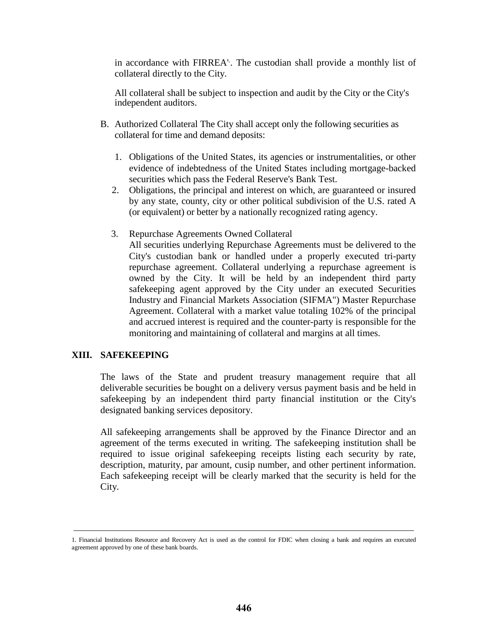in accordance with FIRREA'. . The custodian shall provide a monthly list of collateral directly to the City.

All collateral shall be subject to inspection and audit by the City or the City's independent auditors.

- B. Authorized Collateral The City shall accept only the following securities as collateral for time and demand deposits:
	- securities which pass the Federal Reserve's Bank Test. 1. Obligations of the United States, its agencies or instrumentalities, or other evidence of indebtedness of the United States including mortgage-backed
	- by any state, county, city or other political subdivision of the U.S. rated A 2. Obligations, the principal and interest on which, are guaranteed or insured (or equivalent) or better by a nationally recognized rating agency.
	- 3. Repurchase Agreements Owned Collateral

 All securities underlying Repurchase Agreements must be delivered to the repurchase agreement. Collateral underlying a repurchase agreement is City's custodian bank or handled under a properly executed tri-party owned by the City. It will be held by an independent third party safekeeping agent approved by the City under an executed Securities Industry and Financial Markets Association (SIFMA") Master Repurchase Agreement. Collateral with a market value totaling 102% of the principal and accrued interest is required and the counter-party is responsible for the monitoring and maintaining of collateral and margins at all times.

### **XIII. SAFEKEEPING**

The laws of the State and prudent treasury management require that all deliverable securities be bought on a delivery versus payment basis and be held in safekeeping by an independent third party financial institution or the City's designated banking services depository.

 required to issue original safekeeping receipts listing each security by rate, All safekeeping arrangements shall be approved by the Finance Director and an agreement of the terms executed in writing. The safekeeping institution shall be description, maturity, par amount, cusip number, and other pertinent information. Each safekeeping receipt will be clearly marked that the security is held for the City.

 1. Financial Institutions Resource and Recovery Act is used as the control for FDIC when closing a bank and requires an executed agreement approved by one of these bank boards.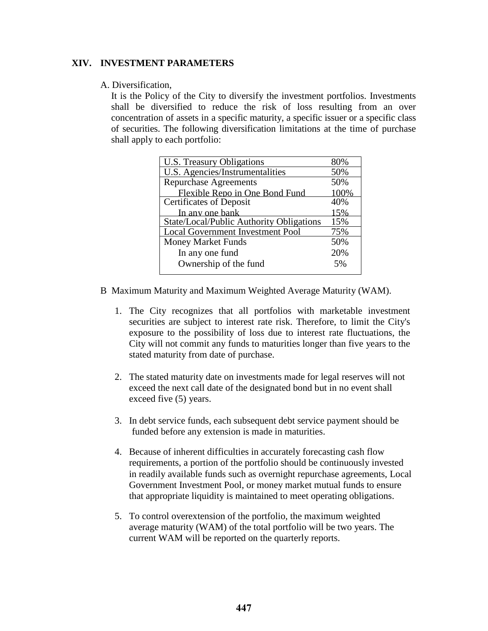### **XIV. INVESTMENT PARAMETERS**

#### A. Diversification,

 shall be diversified to reduce the risk of loss resulting from an over It is the Policy of the City to diversify the investment portfolios. Investments concentration of assets in a specific maturity, a specific issuer or a specific class of securities. The following diversification limitations at the time of purchase

| shall apply to each portfolio: |                                          |      |
|--------------------------------|------------------------------------------|------|
|                                | U.S. Treasury Obligations                | 80%  |
|                                | U.S. Agencies/Instrumentalities          | 50%  |
|                                | <b>Repurchase Agreements</b>             | 50%  |
|                                | Flexible Repo in One Bond Fund           | 100% |
|                                | <b>Certificates of Deposit</b>           | 40%  |
|                                | In anv one bank                          | 15%  |
|                                | State/Local/Public Authority Obligations | 15%  |
|                                | <b>Local Government Investment Pool</b>  | 75%  |
|                                | <b>Money Market Funds</b>                | 50%  |
|                                | In any one fund                          | 20%  |
|                                | Ownership of the fund                    | 5%   |
|                                |                                          |      |

B Maximum Maturity and Maximum Weighted Average Maturity (WAM).

- City will not commit any funds to maturities longer than five years to the 1. The City recognizes that all portfolios with marketable investment securities are subject to interest rate risk. Therefore, to limit the City's exposure to the possibility of loss due to interest rate fluctuations, the stated maturity from date of purchase.
- 2. The stated maturity date on investments made for legal reserves will not exceed the next call date of the designated bond but in no event shall exceed five (5) years.
- 3. In debt service funds, each subsequent debt service payment should be funded before any extension is made in maturities.
- 4. Because of inherent difficulties in accurately forecasting cash flow in readily available funds such as overnight repurchase agreements, Local requirements, a portion of the portfolio should be continuously invested Government Investment Pool, or money market mutual funds to ensure that appropriate liquidity is maintained to meet operating obligations.
- 5. To control overextension of the portfolio, the maximum weighted average maturity (WAM) of the total portfolio will be two years. The current WAM will be reported on the quarterly reports.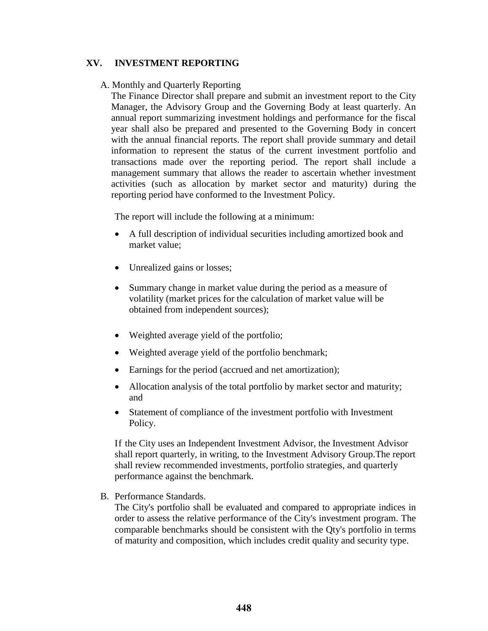### **XV. INVESTMENT REPORTING**

### A. Monthly and Quarterly Reporting

 Manager, the Advisory Group and the Governing Body at least quarterly. An The Finance Director shall prepare and submit an investment report to the City annual report summarizing investment holdings and performance for the fiscal year shall also be prepared and presented to the Governing Body in concert with the annual financial reports. The report shall provide summary and detail information to represent the status of the current investment portfolio and transactions made over the reporting period. The report shall include a management summary that allows the reader to ascertain whether investment activities (such as allocation by market sector and maturity) during the reporting period have conformed to the Investment Policy.

The report will include the following at a minimum:

- A full description of individual securities including amortized book and market value;
- Unrealized gains or losses;
- Summary change in market value during the period as a measure of volatility (market prices for the calculation of market value will be obtained from independent sources);
- Weighted average yield of the portfolio;
- Weighted average yield of the portfolio benchmark;
- Earnings for the period (accrued and net amortization);
- Allocation analysis of the total portfolio by market sector and maturity; and
- Statement of compliance of the investment portfolio with Investment Policy.

If the City uses an Independent Investment Advisor, the Investment Advisor shall report quarterly, in writing, to the Investment Advisory Group.The report shall review recommended investments, portfolio strategies, and quarterly performance against the benchmark.

B. Performance Standards.

The City's portfolio shall be evaluated and compared to appropriate indices in order to assess the relative performance of the City's investment program. The comparable benchmarks should be consistent with the Qty's portfolio in terms of maturity and composition, which includes credit quality and security type.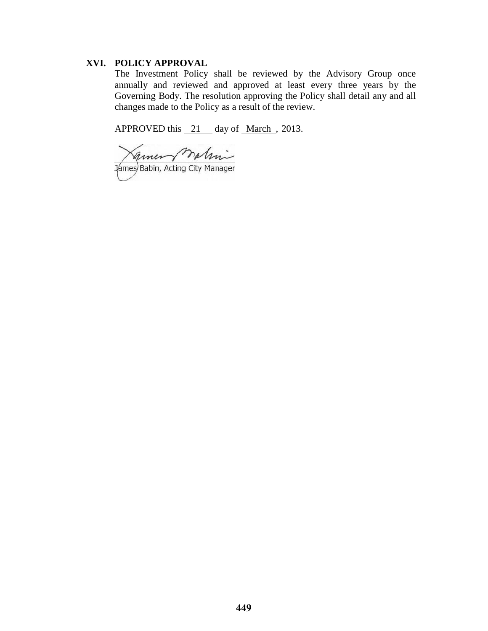### **XVI. POLICY APPROVAL**

 Governing Body. The resolution approving the Policy shall detail any and all The Investment Policy shall be reviewed by the Advisory Group once annually and reviewed and approved at least every three years by the changes made to the Policy as a result of the review.

APPROVED this 21 day of <u>March</u>, 2013.

matini amen James Babin, Acting City Manager